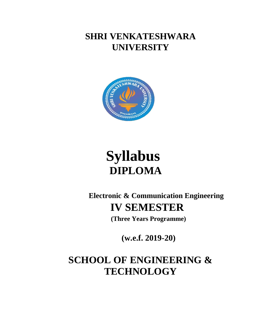**SHRI VENKATESHWARA UNIVERSITY**



# **Syllabus DIPLOMA**

**Electronic & Communication Engineering IV SEMESTER**

**(Three Years Programme)**

**(w.e.f. 2019-20)**

**SCHOOL OF ENGINEERING & TECHNOLOGY**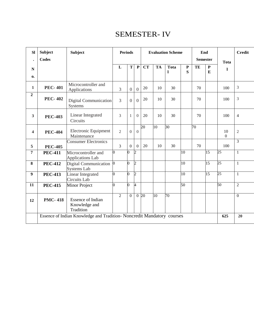# SEMESTER- IV

| <b>Sl</b>      | <b>Subject</b>                                                         | <b>Subject</b>                                         |          | <b>Periods</b> |                |                  |                  |           | <b>Evaluation Scheme</b>    |                 | End             |                 |                 | <b>Credit</b>  |
|----------------|------------------------------------------------------------------------|--------------------------------------------------------|----------|----------------|----------------|------------------|------------------|-----------|-----------------------------|-----------------|-----------------|-----------------|-----------------|----------------|
| $\bullet$      | <b>Codes</b>                                                           |                                                        |          |                |                |                  |                  |           |                             |                 | <b>Semester</b> |                 | <b>Tota</b>     |                |
| $\mathbf N$    |                                                                        |                                                        |          | L              | T              | ${\bf P}$        | <b>CT</b>        | <b>TA</b> | <b>Tota</b><br>$\mathbf{I}$ | P<br>S          | TE              | ${\bf P}$<br>E  | -1              |                |
| 0.             |                                                                        |                                                        |          |                |                |                  |                  |           |                             |                 |                 |                 |                 |                |
| $\mathbf{1}$   | <b>PEC-401</b>                                                         | Microcontroller and<br>Applications                    |          | 3              | $\overline{0}$ | $\overline{0}$   | 20               | 10        | 30                          |                 | 70              |                 | 100             | 3              |
| $\overline{2}$ | <b>PEC-402</b>                                                         | Digital Communication<br><b>Systems</b>                |          | $\overline{3}$ | $\Omega$       | $\Omega$         | 20               | 10        | 30                          |                 | 70              |                 | 100             | 3              |
| $\mathbf{3}$   | <b>PEC-403</b>                                                         | <b>Linear Integrated</b><br>Circuits                   |          | 3              | $\mathbf{1}$   | $\Omega$         | 20               | 10        | 30                          |                 | 70              |                 | 100             | $\overline{4}$ |
| 4              | <b>PEC-404</b>                                                         | Electronic Equipment<br>Maintenance                    |          | $\overline{2}$ | $\overline{0}$ | $\boldsymbol{0}$ | 20               | 10        | $\overline{30}$             |                 | 70              |                 | 10<br>$\Omega$  | $\mathbf{2}$   |
| 5              | <b>PEC-405</b>                                                         | <b>Consumer Electronics</b>                            |          | 3              | $\overline{0}$ | $\overline{0}$   | 20               | 10        | 30                          |                 | 70              |                 | 100             | 3              |
| 7              | <b>PEC-411</b>                                                         | Microcontroller and<br><b>Applications Lab</b>         | 0        |                | O.             | $\overline{2}$   |                  |           |                             | 10              |                 | 15              | $\overline{25}$ | $\mathbf{1}$   |
| 8              | <b>PEC-412</b>                                                         | Digital Communication<br><b>Systems Lab</b>            | $\bf{0}$ |                | 0              | $\overline{c}$   |                  |           |                             | $\overline{10}$ |                 | $\overline{15}$ | 25              | $\mathbf{1}$   |
| 9              | <b>PEC-413</b>                                                         | Linear Integrated<br><b>Circuits Lab</b>               | 0        |                | $\overline{0}$ | $\overline{2}$   |                  |           |                             | $\overline{10}$ |                 | 15              | $\overline{25}$ | $\mathbf{1}$   |
| 11             | <b>PEC-415</b>                                                         | <b>Minor Project</b>                                   | 0        |                | 0              | 4                |                  |           |                             | 50              |                 |                 | 50              | $\overline{2}$ |
| 12             | <b>PMC-418</b>                                                         | <b>Essence of Indian</b><br>Knowledge and<br>Tradition |          | $\overline{2}$ | $\overline{0}$ |                  | $0\overline{20}$ | 10        | $\overline{70}$             |                 |                 |                 |                 | $\overline{0}$ |
|                | Essence of Indian Knowledge and Tradition- Noncredit Mandatory courses |                                                        |          |                |                |                  |                  | 625       | 20                          |                 |                 |                 |                 |                |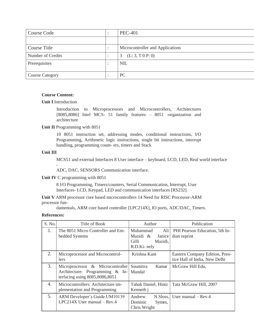| <b>Course Code</b>     | <b>PEC-401</b>                   |
|------------------------|----------------------------------|
|                        |                                  |
| Course Title           | Microcontroller and Applications |
| Number of Credits      | (L: 3, T:0 P: 0)<br>3            |
| Prerequisites          | <b>NIL</b>                       |
| <b>Course Category</b> | PC                               |

**Unit I** Introduction

Introduction to Microprocessors and Microcontrollers, Architectures [8085,8086] Intel MCS- 51 family features – 8051 -organization and architecture

#### **Unit II** Programming with 8051

10 8051 instruction set, addressing modes, conditional instructions, I/O Programming, Arithmetic logic instructions, single bit instructions, interrupt handling, programming count- ers, timers and Stack

#### **Unit III**

-

MCS51 and external Interfaces 8 User interface – keyboard, LCD, LED, Real world interface

ADC, DAC, SENSORS Communication interface.

#### **Unit IV** C programming with 8051

8 I/O Programming, Timers/counters, Serial Communication, Interrupt, User Interfaces- LCD, Keypad, LED and communication interfaces [RS232].

**Unit V** ARM processor core based microcontrollers 14 Need for RISC Processor-ARM processor fun-

damentals, ARM core based controller [LPC214X], IO ports, ADC/DAC, Timers.

| S. No. | Title of Book                                                                                                    | Author                                                                     | Publication                                                     |
|--------|------------------------------------------------------------------------------------------------------------------|----------------------------------------------------------------------------|-----------------------------------------------------------------|
| 1.     | The 8051 Micro Controller and Em-<br>bedded Systems                                                              | Muhammad<br>Ali  <br>Mazidi &<br>Janice<br>Gilli<br>Mazidi,<br>R.D.Ki-nely | PHI Pearson Education, 5th In-<br>dian reprint                  |
| 2.     | Microprocessor and Microcontrol-<br>lers                                                                         | Krishna Kant                                                               | Eastern Company Edition, Pren-<br>tice Hall of India, New Delhi |
| 3.     | Microprocessor & Microcontroller<br>Architecture: Programming & In-   Mandal<br>terfacing using $8085,8086,8051$ | Kumar<br>Soumitra                                                          | McGraw Hill Edu,                                                |
| 4.     | Microcontrollers: Architecture im-<br>plementation and Programming                                               | <b>Tabak Daniel, Hintz</b><br>Kenneth j                                    | Tata McGraw Hill, 2007                                          |
| 5.     | ARM Developer's Guide.UM10139<br>$LPC214X$ User manual – Rev.4                                                   | Andrew<br>N.Sloss.<br>Dominic<br>Symes,<br>Chris Wright                    | User manual $-$ Rev.4                                           |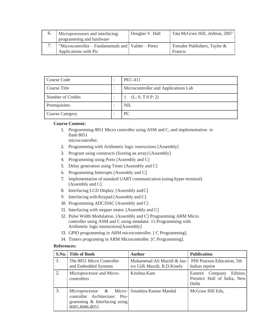| Microprocessors and interfacing:<br>programming and hardware                  | Douglas V. Hall | Tata McGraw Hill, 2editon, 2007         |
|-------------------------------------------------------------------------------|-----------------|-----------------------------------------|
| "Microcontroller – Fundamentals and   Valder – Perez<br>Applications with Pic |                 | Yeesdee Publishers, Tayler &<br>Francis |

| Course Code            | <b>PEC-411</b>                       |
|------------------------|--------------------------------------|
| Course Title           | Microcontroller and Applications Lab |
| Number of Credits      | (L: 0, T:0 P: 2)                     |
| Prerequisites          | <b>NIL</b>                           |
| <b>Course Category</b> | PC                                   |

- 1. Programming 8051 Micro controller using ASM and C, and implementation in flash 8051
	- microcontroller.
- 2. Programming with Arithmetic logic instructions [Assembly]
- 3. Program using constructs (Sorting an array) [Assembly]
- 4. Programming using Ports [Assembly and C]
- 5. Delay generation using Timer [Assembly and C]
- 6. Programming Interrupts [Assembly and C]
- 7. Implementation of standard UART communication (using hyper terminal) [Assembly and C].
- 8. Interfacing LCD Display. [Assembly andC]
- 9. Interfacing with Keypad [Assembly and C]
- 10. Programming ADC/DAC [Assembly and C]
- 11. Interfacing with stepper motor. [Assembly and C]
- 12. Pulse Width Modulation. [Assembly and C] Programming ARM Micro controller using ASM and C using simulator. 11.Programming with Arithmetic logic instructions[Assembly]
- 13. GPIO programming in ARM microcontroller. [ C Programming].
- 14. Timers programing in ARM Microcontroller. [C Programming].

|    | S.No. Title of Book                                                                                                              | <b>Author</b>                                              | <b>Publication</b>                                                  |
|----|----------------------------------------------------------------------------------------------------------------------------------|------------------------------------------------------------|---------------------------------------------------------------------|
| 1. | The 8051 Micro Controller<br>and Embedded Systems                                                                                | Muhammad Ali Mazidi & Jan-<br>ice Gilli Mazidi, R.D.Kinely | PHI Pearson Education, 5th<br>Indian reprint                        |
| 2. | Microprocessor and Micro-<br>controllers                                                                                         | Krishna Kant                                               | Edition,<br>Eastern Company<br>Prentice Hall of India, New<br>Delhi |
| 3. | Microprocessor & Micro- Soumitra Kumar Mandal<br>controller Architecture: Pro-<br>gramming & Interfacing using<br>8085,8086,8051 |                                                            | McGraw Hill Edu,                                                    |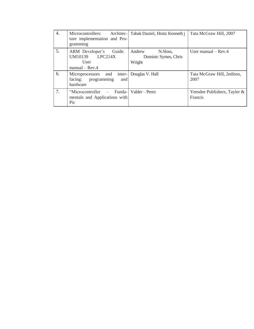| 4. | Architec-<br>Microcontrollers:<br>ture implementation and Pro-<br>gramming            | Tabak Daniel, Hintz Kenneth j                        | Tata McGraw Hill, 2007                  |
|----|---------------------------------------------------------------------------------------|------------------------------------------------------|-----------------------------------------|
| 5. | Guide.<br>ARM Developer's<br>UM10139 LPC214X<br>User<br>$manual - Rev.4$              | Andrew<br>N.Sloss,<br>Dominic Symes, Chris<br>Wright | User manual $-$ Rev. 4                  |
| 6. | Microprocessors and<br>facing: programming<br>and<br>hardware                         | inter- Douglas V. Hall                               | Tata McGraw Hill, 2editon,<br>2007      |
| 7. | "Microcontroller"<br>$\overline{\phantom{a}}$<br>mentals and Applications with<br>Pic | Funda-   Valder – Perez                              | Yeesdee Publishers, Tayler &<br>Francis |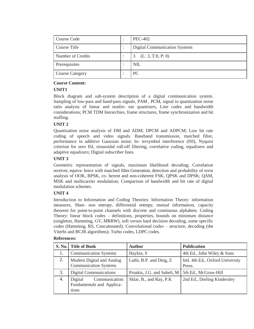| Course Code            | <b>PEC-402</b>                       |
|------------------------|--------------------------------------|
| Course Title           | <b>Digital Communication Systems</b> |
| Number of Credits      | (L: 3, T:0, P: 0)                    |
| Prerequisites          | <b>NIL</b>                           |
| <b>Course Category</b> | PC                                   |

# **UNIT1**

Block diagram and sub-system description of a digital communication system. Sampling of low-pass and band-pass signals, PAM , PCM, signal to quantization noise ratio analysis of linear and nonlin- ear quantizers, Line codes and bandwidth considerations; PCM TDM hierarchies, frame structures, frame synchronization and bit stuffing.

# **UNIT 2**

Quantization noise analysis of DM and ADM; DPCM and ADPCM; Low bit rate coding of speech and video signals. Baseband transmission, matched filter, performance in additive Gaussian noise; In- tersymbol interference (ISI), Nyquist criterion for zero ISI, sinusoidal roll-off filtering, correlative coding, equalizers and adaptive equalizers; Digital subscriber lines.

# **UNIT 3**

Geometric representation of signals, maximum likelihood decoding; Correlation receiver, equiva- lence with matched filter.Generation, detection and probability of error analysis of OOK, BPSK, co- herent and non-coherent FSK, QPSK and DPSK; QAM, MSK and multicarrier modulation; Comparison of bandwidth and bit rate of digital modulation schemes.

# **UNIT 4**

Introduction to Information and Coding Theories: Information Theory: information measures, Shan- non entropy, differential entropy, mutual information, capacity theorem for point-to-point channels with discrete and continuous alphabets. Coding Theory: linear block codes – definitions, properties, bounds on minimum distance (singleton, Hamming, GV, MRRW), soft versus hard decision decoding, some specific codes (Hamming, RS, Concatenated); Convolutional codes – structure, decoding (the Viterbi and BCJR algorithms); Turbo codes, LDPC codes.

| <b>S. No.</b> | <b>Title of Book</b>                                            | <b>Author</b>                | <b>Publication</b>                         |
|---------------|-----------------------------------------------------------------|------------------------------|--------------------------------------------|
| 1.            | <b>Communication Systems</b>                                    | Haykin, S                    | 4th Ed., John Wiley & Sons                 |
| 2.            | Modern Digital and Analog<br><b>Communication Systems</b>       | Lathi, B.P. and Ding, Z.     | Intl. 4th Ed., Oxford University<br>Press. |
| 3.            | Digital Communications                                          | Proakis, J.G. and Saheli, M. | 5th Ed., McGraw-Hill                       |
| 4.            | Communication:<br>Digital<br>Fundamentals and Applica-<br>tions | Sklar, B., and Ray, P.K      | 2nd Ed., Dorling Kindersley                |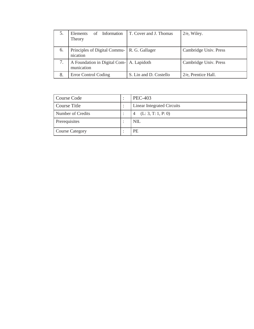|    | of Information<br><b>Elements</b><br>Theory               | T. Cover and J. Thomas | $2/e$ , Wiley.        |
|----|-----------------------------------------------------------|------------------------|-----------------------|
| 6. | Principles of Digital Commu-   R. G. Gallager<br>nication |                        | Cambridge Univ. Press |
|    | A Foundation in Digital Com-   A. Lapidoth<br>munication  |                        | Cambridge Univ. Press |
| 8. | Error Control Coding                                      | S. Lin and D. Costello | 2/e, Prentice Hall.   |

| Course Code            | $\bullet$<br>$\bullet$ | <b>PEC-403</b>                       |
|------------------------|------------------------|--------------------------------------|
| Course Title           | ٠                      | <b>Linear Integrated Circuits</b>    |
| Number of Credits      |                        | (L: 3, T: 1, P: 0)<br>$\overline{4}$ |
| Prerequisites          | $\bullet$              | <b>NIL</b>                           |
| <b>Course Category</b> |                        | <b>PE</b>                            |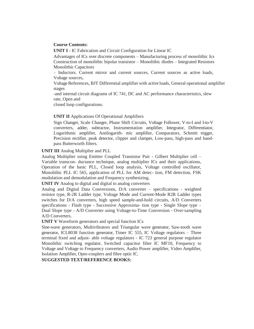**UNIT I -** IC Fabrication and Circuit Configuration for Linear IC

Advantages of ICs over discrete components – Manufacturing process of monolithic Ics Construction of monolithic bipolar transistor – Monolithic diodes – Integrated Resistors Monolithic Capacitors

– Inductors. Current mirror and current sources, Current sources as active loads, Voltage sources,

Voltage References, BJT Differential amplifier with active loads, General operational amplifier stages

-and internal circuit diagrams of IC 741, DC and AC performance characteristics, slew rate, Open and

closed loop configurations.

# **UNIT II** Applications Of Operational Amplifiers

Sign Changer, Scale Changer, Phase Shift Circuits, Voltage Follower, V-to-I and I-to-V converters, adder, subtractor, Instrumentation amplifier, Integrator, Differentiator, Logarithmic amplifier, Antilogarith- mic amplifier, Comparators, Schmitt trigger, Precision rectifier, peak detector, clipper and clamper, Low-pass, high-pass and bandpass Butterworth filters.

**UNIT III** Analog Multiplier and PLL

Analog Multiplier using Emitter Coupled Transistor Pair - Gilbert Multiplier cell – Variable transcon- ductance technique, analog multiplier ICs and their applications, Operation of the basic PLL, Closed loop analysis, Voltage controlled oscillator, Monolithic PLL IC 565, application of PLL for AM detec- tion, FM detection, FSK modulation and demodulation and Frequency synthesizing.

**UNIT IV** Analog to digital and digital to analog converters

Analog and Digital Data Conversions, D/A converter – specifications - weighted resistor type, R-2R Ladder type, Voltage Mode and Current-Mode R2R Ladder types switches for D/A converters, high speed sample-and-hold circuits, A/D Converters specifications - Flash type - Successive Approxima- tion type - Single Slope type – Dual Slope type - A/D Converter using Voltage-to-Time Conversion - Over-sampling A/D Converters.

**UNIT V** Waveform generators and special function ICs

Sine-wave generators, Multivibrators and Triangular wave generator, Saw-tooth wave generator, ICL8038 function generator, Timer IC 555, IC Voltage regulators – Three terminal fixed and adjust- able voltage regulators - IC 723 general purpose regulator Monolithic switching regulator, Switched capacitor filter IC MF10, Frequency to Voltage and Voltage to Frequency converters, Audio Power amplifier, Video Amplifier, Isolation Amplifier, Opto-couplers and fibre optic IC.

**SUGGESTED TEXT/REFERENCE BOOKS:**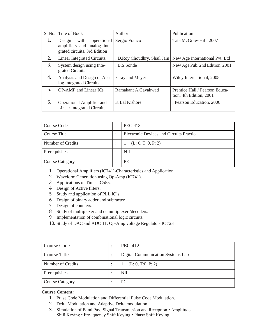| S. No. | Title of Book                                                                                | Author                        | Publication                                               |
|--------|----------------------------------------------------------------------------------------------|-------------------------------|-----------------------------------------------------------|
| 1.     | with<br>operational<br>Design<br>amplifiers and analog inte-<br>grated circuits, 3rd Edition | Sergio Franco                 | Tata McGraw-Hill, 2007                                    |
| 2.     | Linear Integrated Circuits,                                                                  | . D. Roy Choudhry, Shail Jain | New Age International Pvt. Ltd                            |
| 3.     | System design using Inte-<br>grated Circuits                                                 | . B.S.Sonde                   | New Age Pub, 2nd Edition, 2001                            |
| 4.     | Analysis and Design of Ana-<br>log Integrated Circuits                                       | Gray and Meyer                | Wiley International, 2005.                                |
| 5.     | <b>OP-AMP</b> and Linear ICs                                                                 | Ramakant A.Gayakwad           | Prentice Hall / Pearson Educa-<br>tion, 4th Edition, 2001 |
| 6.     | Operational Amplifier and<br><b>Linear Integrated Circuits</b>                               | K Lal Kishore                 | , Pearson Education, 2006                                 |

| Course Code            | $\bullet$ | <b>PEC-413</b>                                   |  |
|------------------------|-----------|--------------------------------------------------|--|
| Course Title           |           | <b>Electronic Devices and Circuits Practical</b> |  |
| Number of Credits      |           | (L: 0, T: 0, P: 2)                               |  |
| Prerequisites          | $\bullet$ | <b>NIL</b>                                       |  |
| <b>Course Category</b> |           | <b>PE</b>                                        |  |

- 1. Operational Amplifiers (IC741)-Characteristics and Application.
- 2. Waveform Generation using Op-Amp (IC741).
- 3. Applications of Timer IC555.
- 4. Design of Active filters.
- 5. Study and application of PLL IC's
- 6. Design of binary adder and subtractor.
- 7. Design of counters.
- 8. Study of multiplexer and demultiplexer /decoders.
- 9. Implementation of combinational logic circuits.
- 10. Study of DAC and ADC 11. Op-Amp voltage Regulator- IC 723

| Course Code            | <b>PEC-412</b>                    |  |
|------------------------|-----------------------------------|--|
| Course Title           | Digital Communication Systems Lab |  |
| Number of Credits      | (L: 0, T:0, P: 2)                 |  |
| Prerequisites          | <b>NIL</b>                        |  |
| <b>Course Category</b> | PC                                |  |

- 1. Pulse Code Modulation and Differential Pulse Code Modulation.
- 2. Delta Modulation and Adaptive Delta modulation.
- 3. Simulation of Band Pass Signal Transmission and Reception Amplitude Shift Keying • Fre- quency Shift Keying • Phase Shift Keying.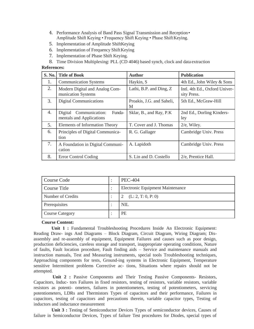- 4. Performance Analysis of Band Pass Signal Transmission and Reception• Amplitude Shift Keying • Frequency Shift Keying • Phase Shift Keying.
- 5. Implementation of Amplitude ShiftKeying
- 6. Implementation of Frequency Shift Keying
- 7. Implementation of Phase Shift Keying.
- 8. Time Division Multiplexing: PLL (CD 4046) based synch, clock and data extraction

#### **References:**

| S. No. | <b>Title of Book</b>                                            | <b>Author</b>                           | <b>Publication</b>                           |  |
|--------|-----------------------------------------------------------------|-----------------------------------------|----------------------------------------------|--|
| 1.     | <b>Communication Systems</b>                                    | Haykin, S                               | 4th Ed., John Wiley & Sons                   |  |
| 2.     | Modern Digital and Analog Com-<br>munication Systems            | Lathi, B.P. and Ding, Z.                | Intl. 4th Ed., Oxford Univer-<br>sity Press. |  |
| 3.     | <b>Digital Communications</b>                                   | Proakis, J.G. and Saheli,<br>M          | 5th Ed., McGraw-Hill                         |  |
| 4.     | Communication:<br>Funda-<br>Digital<br>mentals and Applications | Sklar, B., and Ray, P.K.                | 2nd Ed., Dorling Kinders-<br>ley             |  |
| 5.     | Elements of Information Theory                                  | T. Cover and J. Thomas                  | $2/e$ , Wiley.                               |  |
| 6.     | Principles of Digital Communica-<br>tion                        | Cambridge Univ. Press<br>R. G. Gallager |                                              |  |
| 7.     | A Foundation in Digital Communi-<br>cation                      | A. Lapidoth                             | Cambridge Univ. Press                        |  |
| 8.     | Error Control Coding                                            | S. Lin and D. Costello                  | 2/e, Prentice Hall.                          |  |

| Course Code            | <b>PEC-404</b>                          |  |
|------------------------|-----------------------------------------|--|
| Course Title           | <b>Electronic Equipment Maintenance</b> |  |
| Number of Credits      | (L: 2, T: 0, P: 0)                      |  |
| Prerequisites          | <b>NIL</b>                              |  |
| <b>Course Category</b> | <b>PE</b>                               |  |

## **Course Content:**

**Unit 1 :** Fundamental Troubleshooting Procedures Inside An Electronic Equipment: Reading Draw- ings And Diagrams – Block Diagram, Circuit Diagram, Wiring Diagram; Disassembly and re-assembly of equipment, Equipment Failures and causes such as poor design, production deficiencies, careless storage and transport, inappropriate operating conditions, Nature of faults, Fault location procedure, Fault finding aids – Service and maintenance manuals and instruction manuals, Test and Measuring instruments, special tools Troubleshooting techniques, Approaching components for tests, Ground-ing systems in Electronic Equipment, Temperature sensitive Intermittent problems Corrective ac- tions, Situations where repairs should not be attempted.

Unit 2 : Passive Components and Their Testing Passive Components- Resistors, Capacitors, Induc- tors Failures in fixed resistors, testing of resistors, variable resistors, variable resistors as potenti- ometers, failures in potentiometers, testing of potentiometers, servicing potentiometers, LDRs and Thermistors Types of capacitors and their performance, Failures in capacitors, testing of capacitors and precautions therein, variable capacitor types, Testing of inductors and inductance measurement

**Unit 3 :** Testing of Semiconductor Devices Types of semiconductor devices, Causes of failure in Semiconductor Devices, Types of failure Test procedures for Diodes, special types of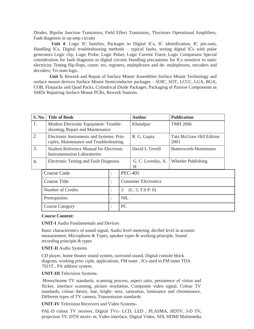Diodes, Bipolar Junction Transistors, Field Effect Transistors, Thyristors Operational Amplifiers, Fault diagnosis in op-amp circuits

**Unit 4**: Logic IC families, Packages in Digital ICs, IC identification, IC pin-outs, Handling ICs, Digital troubleshooting methods – typical faults, testing digital ICs with pulse generators Logic clip, Logic Probe, Logic Pulser, Logic Current Tracer, Logic Comparator Special consideration for fault diagnosis in digital circuits Handling precautions for ICs sensitive to static electricity Testing flip-flops, count- ers, registers, multiplexers and de- multiplexers, encoders and decoders; Tri-state logic.

**Unit 5:** Rework and Repair of Surface Mount Assemblies Surface Mount Technology and surface mount devices Surface Mount Semiconductor packages – SOIC, SOT, LCCC, LGA, BGA, COB, Flatpacks and Quad Packs, Cylindrical Diode Packages, Packaging of Passive Components as SMDs Repairing Surface Mount PCBs, Rework Stations.

| S. No.           | <b>Title of Book</b>                                                                 |                                                |                       | <b>Author</b>                    | <b>Publication</b>    |
|------------------|--------------------------------------------------------------------------------------|------------------------------------------------|-----------------------|----------------------------------|-----------------------|
| 1.               | Modern Electronic Equipment: Trouble-<br>shooting, Repair and Maintenance            |                                                |                       | Khandpur                         | <b>TMH 2006</b>       |
| 2.               | Electronic Instruments and Systems: Prin-<br>ciples, Maintenance and Troubleshooting |                                                | R. G. Gupta           | Tata McGraw Hill Edition<br>2001 |                       |
| 3.               | <b>Instrumentation Laboratories</b>                                                  | <b>Student Reference Manual for Electronic</b> |                       | David L Terrell                  | Butterworth-Heinemann |
| $\overline{4}$ . |                                                                                      | Electronic Testing and Fault Diagnosis         |                       | G. C. Loveday, A.<br>H           | Wheeler Publishing    |
|                  | <b>PEC-405</b><br>Course Code<br>$\ddot{\cdot}$                                      |                                                |                       |                                  |                       |
|                  | Course Title                                                                         | ٠                                              |                       | <b>Consumer Electronics</b>      |                       |
|                  | Number of Credits                                                                    |                                                | (L: 3, T:0 P: 0)<br>3 |                                  |                       |
|                  | Prerequisites                                                                        |                                                | <b>NIL</b>            |                                  |                       |
|                  | <b>Course Category</b>                                                               |                                                | PC                    |                                  |                       |

#### **Course Content:**

**UNIT-I** Audio Fundamentals and Devices

Basic characteristics of sound signal, Audio level metering, decibel level in acoustic measurement, Microphone & Types, speaker types & working principle, Sound recording principle & types

**UNIT-II** Audio Systems

CD player, home theatre sound system, surround sound, Digital console block diagram, working prin- ciple, applications, FM tuner , ICs used in FM tuner TDA 7021T , PA address system.

**UNIT-III** Television Systems-

Monochrome TV standards, scanning process, aspect ratio, persistence of vision and flicker, interlace scanning, picture resolution, Composite video signal, Colour TV standards, colour theory, hue, bright- ness, saturation, luminance and chrominance, Different types of TV camera, Transmission standards

**UNIT-IV** Television Receivers and Video Systems-

PAL-D colour TV receiver, Digital TVs:- LCD, LED , PLASMA, HDTV, 3-D TV, projection TV, DTH receiv- er, Video interface, Digital Video, SDI, HDMI Multimedia